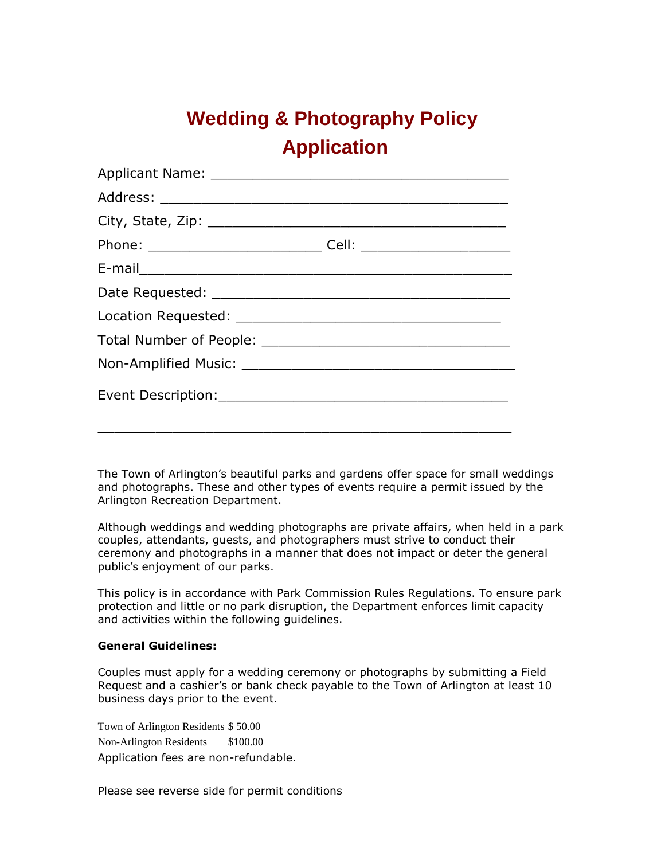## **Wedding & Photography Policy Application**

The Town of Arlington's beautiful parks and gardens offer space for small weddings and photographs. These and other types of events require a permit issued by the Arlington Recreation Department.

Although weddings and wedding photographs are private affairs, when held in a park couples, attendants, guests, and photographers must strive to conduct their ceremony and photographs in a manner that does not impact or deter the general public's enjoyment of our parks.

This policy is in accordance with Park Commission Rules Regulations. To ensure park protection and little or no park disruption, the Department enforces limit capacity and activities within the following guidelines.

## **General Guidelines:**

Couples must apply for a wedding ceremony or photographs by submitting a Field Request and a cashier's or bank check payable to the Town of Arlington at least 10 business days prior to the event.

Town of Arlington Residents \$ 50.00 Non-Arlington Residents \$100.00 Application fees are non-refundable.

Please see reverse side for permit conditions